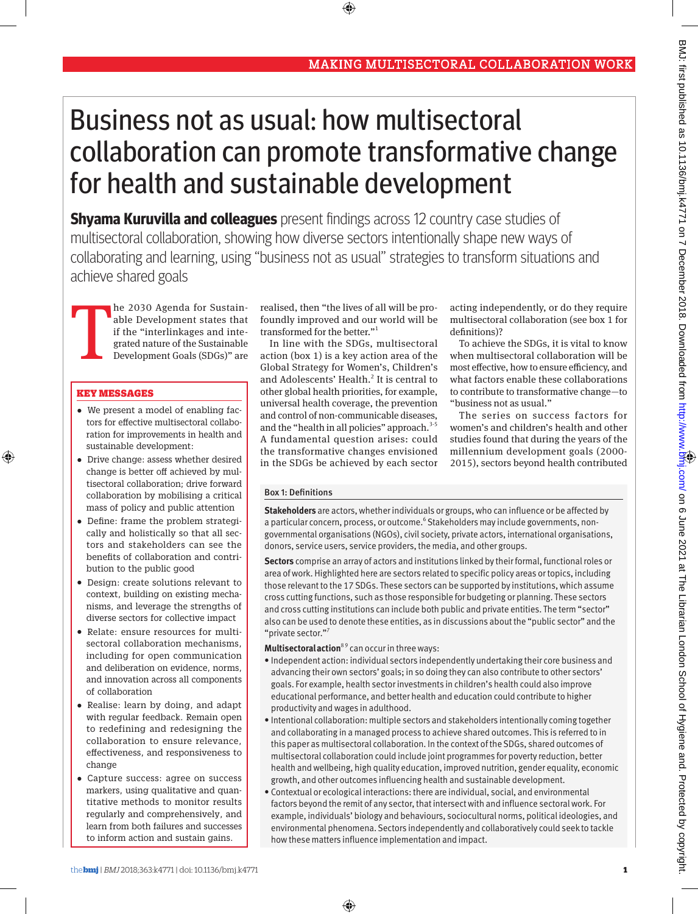# Business not as usual: how multisectoral collaboration can promote transformative change for health and sustainable development

⊕

**Shyama Kuruvilla and colleagues** present findings across 12 country case studies of multisectoral collaboration, showing how diverse sectors intentionally shape new ways of collaborating and learning, using "business not as usual" strategies to transform situations and achieve shared goals

T he 2030 Agenda for Sustainable Development states that if the "interlinkages and integrated nature of the Sustainable Development Goals (SDGs)" are

#### Key messages

⊕

- •  We present a model of enabling factors for effective multisectoral collaboration for improvements in health and sustainable development:
- •  Drive change: assess whether desired change is better off achieved by multisectoral collaboration; drive forward collaboration by mobilising a critical mass of policy and public attention
- •  Define: frame the problem strategically and holistically so that all sectors and stakeholders can see the benefits of collaboration and contribution to the public good
- •  Design: create solutions relevant to context, building on existing mechanisms, and leverage the strengths of diverse sectors for collective impact
- •  Relate: ensure resources for multisectoral collaboration mechanisms, including for open communication and deliberation on evidence, norms, and innovation across all components of collaboration
- •  Realise: learn by doing, and adapt with regular feedback. Remain open to redefining and redesigning the collaboration to ensure relevance, effectiveness, and responsiveness to change
- •  Capture success: agree on success markers, using qualitative and quantitative methods to monitor results regularly and comprehensively, and learn from both failures and successes to inform action and sustain gains.

realised, then "the lives of all will be profoundly improved and our world will be transformed for the better."1

In line with the SDGs, multisectoral action (box 1) is a key action area of the Global Strategy for Women's, Children's and Adolescents' Health.<sup>2</sup> It is central to other global health priorities, for example, universal health coverage, the prevention and control of non-communicable diseases, and the "health in all policies" approach.<sup>3-5</sup> A fundamental question arises: could the transformative changes envisioned in the SDGs be achieved by each sector

acting independently, or do they require multisectoral collaboration (see box 1 for definitions)?

To achieve the SDGs, it is vital to know when multisectoral collaboration will be most effective, how to ensure efficiency, and what factors enable these collaborations to contribute to transformative change—to "business not as usual."

The series on success factors for women's and children's health and other studies found that during the years of the millennium development goals (2000- 2015), sectors beyond health contributed

## Box 1: Definitions

**Stakeholders** are actors, whether individuals or groups, who can influence or be affected by a particular concern, process, or outcome.<sup>6</sup> Stakeholders may include governments, nongovernmental organisations (NGOs), civil society, private actors, international organisations, donors, service users, service providers, the media, and other groups.

**Sectors** comprise an array of actors and institutions linked by their formal, functional roles or area of work. Highlighted here are sectors related to specific policy areas or topics, including those relevant to the 17 SDGs. These sectors can be supported by institutions, which assume cross cutting functions, such as those responsible for budgeting or planning. These sectors and cross cutting institutions can include both public and private entities. The term "sector" also can be used to denote these entities, as in discussions about the "public sector" and the "private sector."7

**Multisectoral action**<sup>89</sup> can occur in three ways:

- • Independent action: individual sectors independently undertaking their core business and advancing their own sectors' goals; in so doing they can also contribute to other sectors' goals. For example, health sector investments in children's health could also improve educational performance, and better health and education could contribute to higher productivity and wages in adulthood.
- • Intentional collaboration: multiple sectors and stakeholders intentionally coming together and collaborating in a managed process to achieve shared outcomes. This is referred to in this paper as multisectoral collaboration. In the context of the SDGs, shared outcomes of multisectoral collaboration could include joint programmes for poverty reduction, better health and wellbeing, high quality education, improved nutrition, gender equality, economic growth, and other outcomes influencing health and sustainable development.
- • Contextual or ecological interactions: there are individual, social, and environmental factors beyond the remit of any sector, that intersect with and influence sectoral work. For example, individuals' biology and behaviours, sociocultural norms, political ideologies, and environmental phenomena. Sectors independently and collaboratively could seek to tackle how these matters influence implementation and impact.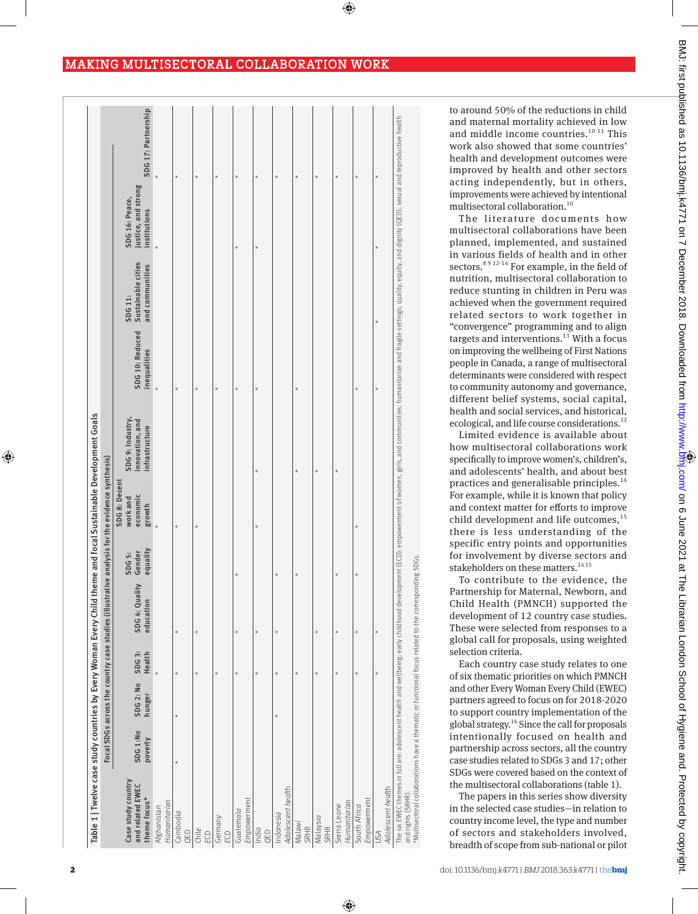$\bigcirc$ 

⊕

| Table 1   Twelve case study countries by Every Woman Every Child theme and focal Sustainable Development Goals             |                     |                     |                 |                                                                                               |                              |                                                 |                                                                                                                                                                                                                                |                                 |                                                  |                                                       |                     |
|----------------------------------------------------------------------------------------------------------------------------|---------------------|---------------------|-----------------|-----------------------------------------------------------------------------------------------|------------------------------|-------------------------------------------------|--------------------------------------------------------------------------------------------------------------------------------------------------------------------------------------------------------------------------------|---------------------------------|--------------------------------------------------|-------------------------------------------------------|---------------------|
|                                                                                                                            |                     |                     |                 | Focal SDGs across the country case studies (illustrative analysis for the evidence synthesis) |                              |                                                 |                                                                                                                                                                                                                                |                                 |                                                  |                                                       |                     |
| Case study country<br>and related EWEC<br>theme focus*                                                                     | SDG 1:No<br>poverty | SDG 2: No<br>hunger | SDG3:<br>Health | SDG 4: Quality<br>education                                                                   | equality<br>Gender<br>SDG 5: | SDG 8: Decent<br>economic<br>work and<br>growth | SDG 9: Industry,<br>innovation, and<br>infrastructure                                                                                                                                                                          | SDG 10: Reduced<br>inequalities | Sustainable cities<br>and communities<br>SDG 11: | justice, and strong<br>SDG 16: Peace,<br>institutions | SDG 17: Partnership |
| Humanitarian<br>Afghanistan                                                                                                |                     |                     | $\star$         |                                                                                               |                              |                                                 |                                                                                                                                                                                                                                | $\star$                         |                                                  | $\star$                                               | $\ast$              |
| Cambodia<br>QED                                                                                                            | $\star$             | $\star$             | $\ast$          | $\ast$                                                                                        |                              | $\star$                                         |                                                                                                                                                                                                                                | $\ast$                          |                                                  |                                                       | $\ast$              |
| Chile<br>ECD                                                                                                               |                     |                     | $\star$         | $\star$                                                                                       |                              | $\star$                                         |                                                                                                                                                                                                                                | $\ast$                          |                                                  |                                                       | $\star$             |
| Germany<br>ECD                                                                                                             |                     |                     | $\ast$          |                                                                                               |                              |                                                 |                                                                                                                                                                                                                                | $\star$                         |                                                  |                                                       | $\star$             |
| Empowerment<br>Guatemala                                                                                                   |                     |                     | $\star$         | $\star$                                                                                       | $\star$                      |                                                 |                                                                                                                                                                                                                                | $\star$                         |                                                  | $\star$                                               | $\star$             |
| India<br>OED                                                                                                               |                     |                     | $\star$         | $\star$                                                                                       |                              | $\star$                                         | $\star$                                                                                                                                                                                                                        | $\star$                         |                                                  | $\star$                                               | $\star$             |
| Adolescent health<br>Indonesia                                                                                             |                     | $\star$             | $\star$         | $\star$                                                                                       | $\star$                      |                                                 |                                                                                                                                                                                                                                |                                 |                                                  |                                                       | $\star$             |
| Malawi<br>SRHR                                                                                                             |                     |                     | $\star$         |                                                                                               | $\star$                      |                                                 | $\star$                                                                                                                                                                                                                        | $\star$                         |                                                  |                                                       | $\star$             |
| Malaysia<br>SRHR                                                                                                           |                     |                     | $\star$         | $\star$                                                                                       |                              |                                                 | $\star$                                                                                                                                                                                                                        |                                 |                                                  |                                                       | $\star$             |
| Humanitarian<br>Sierra Leone                                                                                               |                     |                     | $\star$         | $\star$                                                                                       | $\ast$                       |                                                 | $\ast$                                                                                                                                                                                                                         |                                 |                                                  |                                                       | $\star$             |
| Empowerment<br>South Africa                                                                                                |                     |                     | $\star$         | $\star$                                                                                       | $\ast$                       | $\star$                                         |                                                                                                                                                                                                                                | $\star$                         |                                                  |                                                       | $\ast$              |
| Adolescent health<br><b>NSU</b>                                                                                            |                     |                     | $\star$         | $\star$                                                                                       |                              |                                                 |                                                                                                                                                                                                                                | $\ast$                          | $\ast$                                           | $\ast$                                                | $\ast$              |
| *Multisectoral collaborations have a thematic or functional focus related to the corresponding SDGs.<br>and rights (SRHR). |                     |                     |                 |                                                                                               |                              |                                                 | The six EWEC themes in full are: adolescent health and wellbeing; early childhood development (ECD); empowerment of women, girls, and communities; humanitarian and fragile settings; quality, equity, and dignity (QED); sexu |                                 |                                                  |                                                       |                     |

to around 50% of the reductions in child and maternal mortality achieved in low and middle income countries. $^{10\ 11}$  This work also showed that some countries' health and development outcomes were improved by health and other sectors acting independently, but in others, improvements were achieved by intentional multisectoral collaboration.10

The literature documents how multisectoral collaborations have been planned, implemented, and sustained in various fields of health and in other sectors.<sup>8912-14</sup> For example, in the field of nutrition, multisectoral collaboration to reduce stunting in children in Peru was achieved when the government required related sectors to work together in "convergence" programming and to align targets and interventions. $13$  With a focus on improving the wellbeing of First Nations people in Canada, a range of multisectoral determinants were considered with respect to community autonomy and governance, different belief systems, social capital, health and social services, and historical, ecological, and life course considerations.<sup>12</sup>

Limited evidence is available about how multisectoral collaborations work specifically to improve women's, children's, and adolescents' health, and about best practices and generalisable principles.<sup>14</sup> For example, while it is known that policy and context matter for efforts to improve child development and life outcomes, $15$ there is less understanding of the specific entry points and opportunities for involvement by diverse sectors and stakeholders on these matters.<sup>1415</sup>

To contribute to the evidence, the Partnership for Maternal, Newborn, and Child Health (PMNCH) supported the development of 12 country case studies. These were selected from responses to a global call for proposals, using weighted selection criteria.

Each country case study relates to one of six thematic priorities on which PMNCH and other Every Woman Every Child (EWEC) partners agreed to focus on for 2018-2020 to support country implementation of the global strategy.16 Since the call for proposals intentionally focused on health and partnership across sectors, all the country case studies related to SDGs 3 and 17; other SDGs were covered based on the context of the multisectoral collaborations (table 1).

The papers in this series show diversity in the selected case studies—in relation to country income level, the type and number of sectors and stakeholders involved, breadth of scope from sub-national or pilot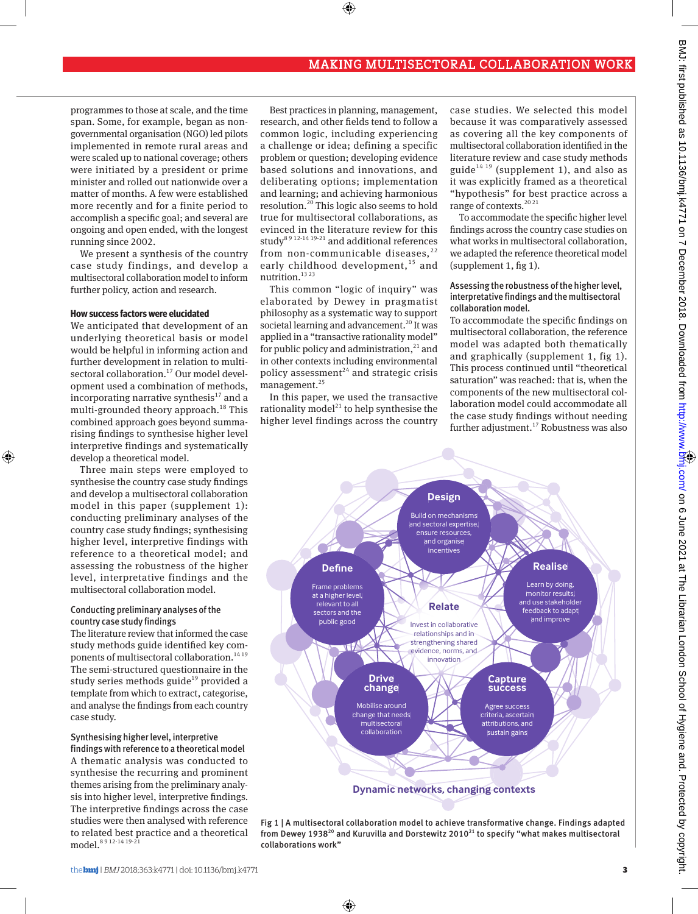programmes to those at scale, and the time span. Some, for example, began as nongovernmental organisation (NGO) led pilots implemented in remote rural areas and were scaled up to national coverage; others were initiated by a president or prime minister and rolled out nationwide over a matter of months. A few were established more recently and for a finite period to accomplish a specific goal; and several are ongoing and open ended, with the longest running since 2002.

We present a synthesis of the country case study findings, and develop a multisectoral collaboration model to inform further policy, action and research.

## **How success factors were elucidated**

⊕

We anticipated that development of an underlying theoretical basis or model would be helpful in informing action and further development in relation to multisectoral collaboration.<sup>17</sup> Our model development used a combination of methods, incorporating narrative synthesis $^{17}$  and a multi-grounded theory approach.<sup>18</sup> This combined approach goes beyond summarising findings to synthesise higher level interpretive findings and systematically develop a theoretical model.

Three main steps were employed to synthesise the country case study findings and develop a multisectoral collaboration model in this paper (supplement 1): conducting preliminary analyses of the country case study findings; synthesising higher level, interpretive findings with reference to a theoretical model; and assessing the robustness of the higher level, interpretative findings and the multisectoral collaboration model.

## Conducting preliminary analyses of the country case study findings

The literature review that informed the case study methods guide identified key components of multisectoral collaboration.<sup>1419</sup> The semi-structured questionnaire in the study series methods guide<sup>19</sup> provided a template from which to extract, categorise, and analyse the findings from each country case study.

# Synthesising higher level, interpretive

findings with reference to a theoretical model A thematic analysis was conducted to synthesise the recurring and prominent themes arising from the preliminary analysis into higher level, interpretive findings. The interpretive findings across the case studies were then analysed with reference to related best practice and a theoretical model.8 9 12-14 19-21

Best practices in planning, management, research, and other fields tend to follow a common logic, including experiencing a challenge or idea; defining a specific problem or question; developing evidence based solutions and innovations, and deliberating options; implementation and learning; and achieving harmonious resolution.20 This logic also seems to hold true for multisectoral collaborations, as evinced in the literature review for this study<sup>8 9 12-14 19-21</sup> and additional references from non-communicable diseases, $^{22}$ early childhood development,<sup>15</sup> and nutrition.<sup>13 23</sup>

 $\bigcirc$ 

This common "logic of inquiry" was elaborated by Dewey in pragmatist philosophy as a systematic way to support societal learning and advancement.<sup>20</sup> It was applied in a "transactive rationality model" for public policy and administration, $^{21}$  and in other contexts including environmental policy assessment $24$  and strategic crisis management.<sup>25</sup>

In this paper, we used the transactive rationality model<sup>21</sup> to help synthesise the higher level findings across the country

case studies. We selected this model because it was comparatively assessed as covering all the key components of multisectoral collaboration identified in the literature review and case study methods guide<sup>14 19</sup> (supplement 1), and also as it was explicitly framed as a theoretical "hypothesis" for best practice across a range of contexts.<sup>20 21</sup>

To accommodate the specific higher level findings across the country case studies on what works in multisectoral collaboration, we adapted the reference theoretical model (supplement 1, fig 1).

Assessing the robustness of the higher level, interpretative findings and the multisectoral collaboration model.

To accommodate the specific findings on multisectoral collaboration, the reference model was adapted both thematically and graphically (supplement 1, fig 1). This process continued until "theoretical saturation" was reached: that is, when the components of the new multisectoral collaboration model could accommodate all the case study findings without needing further adjustment.<sup>17</sup> Robustness was also



Fig 1 | A multisectoral collaboration model to achieve transformative change. Findings adapted from Dewey 1938<sup>20</sup> and Kuruvilla and Dorstewitz 2010<sup>21</sup> to specify "what makes multisectoral collaborations work"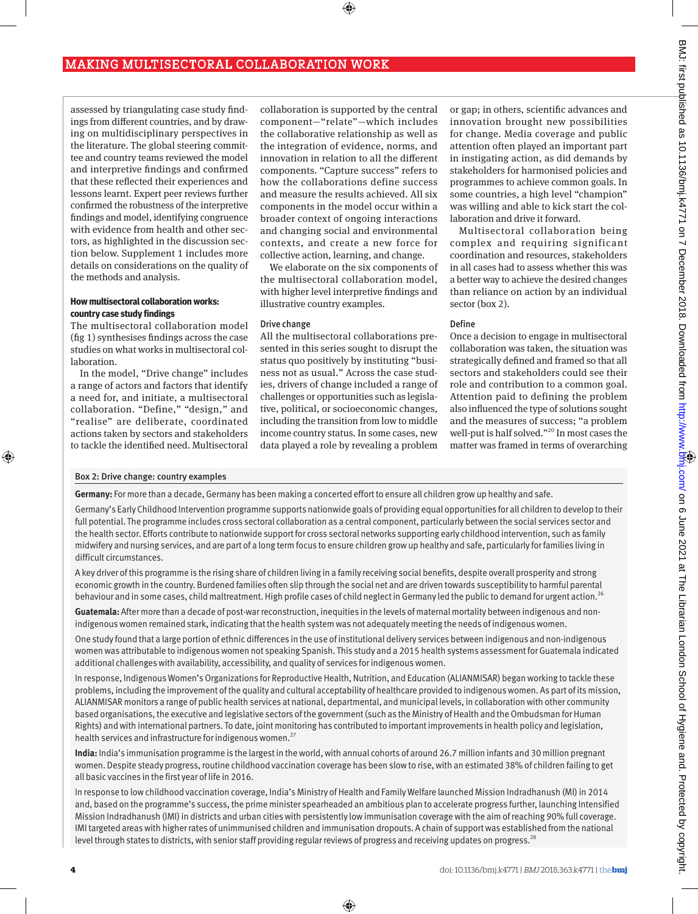assessed by triangulating case study findings from different countries, and by drawing on multidisciplinary perspectives in the literature. The global steering committee and country teams reviewed the model and interpretive findings and confirmed that these reflected their experiences and lessons learnt. Expert peer reviews further confirmed the robustness of the interpretive findings and model, identifying congruence with evidence from health and other sectors, as highlighted in the discussion section below. Supplement 1 includes more details on considerations on the quality of the methods and analysis.

## **How multisectoral collaboration works: country case study findings**

The multisectoral collaboration model (fig 1) synthesises findings across the case studies on what works in multisectoral collaboration.

In the model, "Drive change" includes a range of actors and factors that identify a need for, and initiate, a multisectoral collaboration. "Define," "design," and "realise" are deliberate, coordinated actions taken by sectors and stakeholders to tackle the identified need. Multisectoral

collaboration is supported by the central component—"relate"—which includes the collaborative relationship as well as the integration of evidence, norms, and innovation in relation to all the different components. "Capture success" refers to how the collaborations define success and measure the results achieved. All six components in the model occur within a broader context of ongoing interactions and changing social and environmental contexts, and create a new force for collective action, learning, and change.

 $\bigoplus$ 

We elaborate on the six components of the multisectoral collaboration model, with higher level interpretive findings and illustrative country examples.

#### Drive change

All the multisectoral collaborations presented in this series sought to disrupt the status quo positively by instituting "business not as usual." Across the case studies, drivers of change included a range of challenges or opportunities such as legislative, political, or socioeconomic changes, including the transition from low to middle income country status. In some cases, new data played a role by revealing a problem

or gap; in others, scientific advances and innovation brought new possibilities for change. Media coverage and public attention often played an important part in instigating action, as did demands by stakeholders for harmonised policies and programmes to achieve common goals. In some countries, a high level "champion" was willing and able to kick start the collaboration and drive it forward.

Multisectoral collaboration being complex and requiring significant coordination and resources, stakeholders in all cases had to assess whether this was a better way to achieve the desired changes than reliance on action by an individual sector (box 2).

## Define

Once a decision to engage in multisectoral collaboration was taken, the situation was strategically defined and framed so that all sectors and stakeholders could see their role and contribution to a common goal. Attention paid to defining the problem also influenced the type of solutions sought and the measures of success; "a problem well-put is half solved."<sup>20</sup> In most cases the matter was framed in terms of overarching

#### Box 2: Drive change: country examples

⊕

**Germany:** For more than a decade, Germany has been making a concerted effort to ensure all children grow up healthy and safe.

Germany's Early Childhood Intervention programme supports nationwide goals of providing equal opportunities for all children to develop to their full potential. The programme includes cross sectoral collaboration as a central component, particularly between the social services sector and the health sector. Efforts contribute to nationwide support for cross sectoral networks supporting early childhood intervention, such as family midwifery and nursing services, and are part of a long term focus to ensure children grow up healthy and safe, particularly for families living in difficult circumstances.

A key driver of this programme is the rising share of children living in a family receiving social benefits, despite overall prosperity and strong economic growth in the country. Burdened families often slip through the social net and are driven towards susceptibility to harmful parental behaviour and in some cases, child maltreatment. High profile cases of child neglect in Germany led the public to demand for urgent action.<sup>26</sup>

**Guatemala:** After more than a decade of post-war reconstruction, inequities in the levels of maternal mortality between indigenous and nonindigenous women remained stark, indicating that the health system was not adequately meeting the needs of indigenous women.

One study found that a large portion of ethnic differences in the use of institutional delivery services between indigenous and non-indigenous women was attributable to indigenous women not speaking Spanish. This study and a 2015 health systems assessment for Guatemala indicated additional challenges with availability, accessibility, and quality of services for indigenous women.

In response, Indigenous Women's Organizations for Reproductive Health, Nutrition, and Education (ALIANMISAR) began working to tackle these problems, including the improvement of the quality and cultural acceptability of healthcare provided to indigenous women. As part of its mission, ALIANMISAR monitors a range of public health services at national, departmental, and municipal levels, in collaboration with other community based organisations, the executive and legislative sectors of the government (such as the Ministry of Health and the Ombudsman for Human Rights) and with international partners. To date, joint monitoring has contributed to important improvements in health policy and legislation, health services and infrastructure for indigenous women.<sup>27</sup>

**India:** India's immunisation programme is the largest in the world, with annual cohorts of around 26.7 million infants and 30 million pregnant women. Despite steady progress, routine childhood vaccination coverage has been slow to rise, with an estimated 38% of children failing to get all basic vaccines in the first year of life in 2016.

In response to low childhood vaccination coverage, India's Ministry of Health and Family Welfare launched Mission Indradhanush (MI) in 2014 and, based on the programme's success, the prime minister spearheaded an ambitious plan to accelerate progress further, launching Intensified Mission Indradhanush (IMI) in districts and urban cities with persistently low immunisation coverage with the aim of reaching 90% full coverage. IMI targeted areas with higher rates of unimmunised children and immunisation dropouts. A chain of support was established from the national level through states to districts, with senior staff providing regular reviews of progress and receiving updates on progress.<sup>28</sup>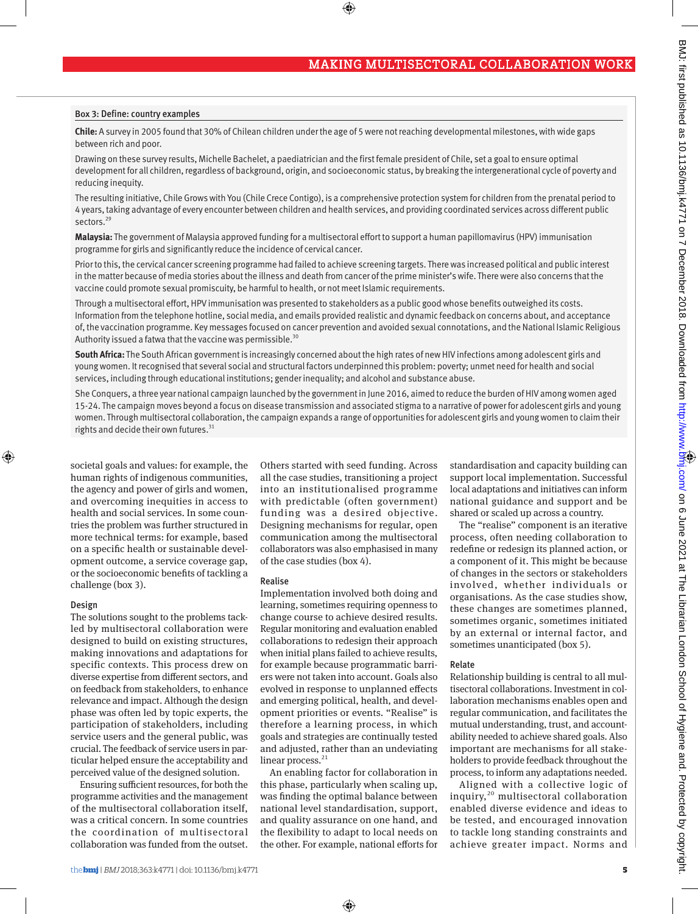#### Box 3: Define: country examples

**Chile:** A survey in 2005 found that 30% of Chilean children under the age of 5 were not reaching developmental milestones, with wide gaps between rich and poor.

Drawing on these survey results, Michelle Bachelet, a paediatrician and the first female president of Chile, set a goal to ensure optimal development for all children, regardless of background, origin, and socioeconomic status, by breaking the intergenerational cycle of poverty and reducing inequity.

 $\bigcirc$ 

The resulting initiative, Chile Grows with You (Chile Crece Contigo), is a comprehensive protection system for children from the prenatal period to 4 years, taking advantage of every encounter between children and health services, and providing coordinated services across different public sectors.<sup>29</sup>

**Malaysia:** The government of Malaysia approved funding for a multisectoral effort to support a human papillomavirus (HPV) immunisation programme for girls and significantly reduce the incidence of cervical cancer.

Prior to this, the cervical cancer screening programme had failed to achieve screening targets. There was increased political and public interest in the matter because of media stories about the illness and death from cancer of the prime minister's wife. There were also concerns that the vaccine could promote sexual promiscuity, be harmful to health, or not meet Islamic requirements.

Through a multisectoral effort, HPV immunisation was presented to stakeholders as a public good whose benefits outweighed its costs. Information from the telephone hotline, social media, and emails provided realistic and dynamic feedback on concerns about, and acceptance of, the vaccination programme. Key messages focused on cancer prevention and avoided sexual connotations, and the National Islamic Religious Authority issued a fatwa that the vaccine was permissible.<sup>30</sup>

**South Africa:** The South African government is increasingly concerned about the high rates of new HIV infections among adolescent girls and young women. It recognised that several social and structural factors underpinned this problem: poverty; unmet need for health and social services, including through educational institutions; gender inequality; and alcohol and substance abuse.

She Conquers, a three year national campaign launched by the government in June 2016, aimed to reduce the burden of HIV among women aged 15-24. The campaign moves beyond a focus on disease transmission and associated stigma to a narrative of power for adolescent girls and young women. Through multisectoral collaboration, the campaign expands a range of opportunities for adolescent girls and young women to claim their rights and decide their own futures. $31$ 

societal goals and values: for example, the human rights of indigenous communities, the agency and power of girls and women, and overcoming inequities in access to health and social services. In some countries the problem was further structured in more technical terms: for example, based on a specific health or sustainable development outcome, a service coverage gap, or the socioeconomic benefits of tackling a challenge (box 3).

#### Design

⊕

The solutions sought to the problems tackled by multisectoral collaboration were designed to build on existing structures, making innovations and adaptations for specific contexts. This process drew on diverse expertise from different sectors, and on feedback from stakeholders, to enhance relevance and impact. Although the design phase was often led by topic experts, the participation of stakeholders, including service users and the general public, was crucial. The feedback of service users in particular helped ensure the acceptability and perceived value of the designed solution.

Ensuring sufficient resources, for both the programme activities and the management of the multisectoral collaboration itself, was a critical concern. In some countries the coordination of multisectoral collaboration was funded from the outset.

Others started with seed funding. Across all the case studies, transitioning a project into an institutionalised programme with predictable (often government) funding was a desired objective. Designing mechanisms for regular, open communication among the multisectoral collaborators was also emphasised in many of the case studies (box 4).

#### Realise

Implementation involved both doing and learning, sometimes requiring openness to change course to achieve desired results. Regular monitoring and evaluation enabled collaborations to redesign their approach when initial plans failed to achieve results, for example because programmatic barriers were not taken into account. Goals also evolved in response to unplanned effects and emerging political, health, and development priorities or events. "Realise" is therefore a learning process, in which goals and strategies are continually tested and adjusted, rather than an undeviating linear process.<sup>21</sup>

An enabling factor for collaboration in this phase, particularly when scaling up, was finding the optimal balance between national level standardisation, support, and quality assurance on one hand, and the flexibility to adapt to local needs on the other. For example, national efforts for

⊕

standardisation and capacity building can support local implementation. Successful local adaptations and initiatives can inform national guidance and support and be shared or scaled up across a country.

The "realise" component is an iterative process, often needing collaboration to redefine or redesign its planned action, or a component of it. This might be because of changes in the sectors or stakeholders involved, whether individuals or organisations. As the case studies show, these changes are sometimes planned, sometimes organic, sometimes initiated by an external or internal factor, and sometimes unanticipated (box 5).

## Relate

Relationship building is central to all multisectoral collaborations. Investment in collaboration mechanisms enables open and regular communication, and facilitates the mutual understanding, trust, and accountability needed to achieve shared goals. Also important are mechanisms for all stakeholders to provide feedback throughout the process, to inform any adaptations needed.

Aligned with a collective logic of inquiry, $^{20}$  multisectoral collaboration enabled diverse evidence and ideas to be tested, and encouraged innovation to tackle long standing constraints and achieve greater impact. Norms and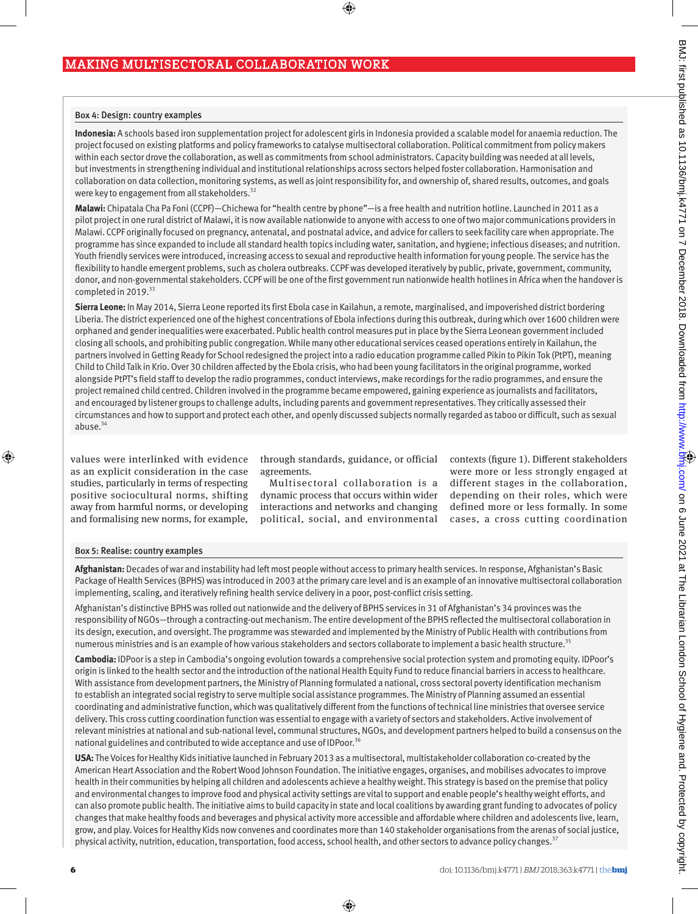#### Box 4: Design: country examples

**Indonesia:** A schools based iron supplementation project for adolescent girls in Indonesia provided a scalable model for anaemia reduction. The project focused on existing platforms and policy frameworks to catalyse multisectoral collaboration. Political commitment from policy makers within each sector drove the collaboration, as well as commitments from school administrators. Capacity building was needed at all levels, but investments in strengthening individual and institutional relationships across sectors helped foster collaboration. Harmonisation and collaboration on data collection, monitoring systems, as well as joint responsibility for, and ownership of, shared results, outcomes, and goals were key to engagement from all stakeholders.<sup>32</sup>

 $\bigoplus$ 

**Malawi:** Chipatala Cha Pa Foni (CCPF)—Chichewa for "health centre by phone"—is a free health and nutrition hotline. Launched in 2011 as a pilot project in one rural district of Malawi, it is now available nationwide to anyone with access to one of two major communications providers in Malawi. CCPF originally focused on pregnancy, antenatal, and postnatal advice, and advice for callers to seek facility care when appropriate. The programme has since expanded to include all standard health topics including water, sanitation, and hygiene; infectious diseases; and nutrition. Youth friendly services were introduced, increasing access to sexual and reproductive health information for young people. The service has the flexibility to handle emergent problems, such as cholera outbreaks. CCPF was developed iteratively by public, private, government, community, donor, and non-governmental stakeholders. CCPF will be one of the first government run nationwide health hotlines in Africa when the handover is completed in 2019.<sup>33</sup>

**Sierra Leone:** In May 2014, Sierra Leone reported its first Ebola case in Kailahun, a remote, marginalised, and impoverished district bordering Liberia. The district experienced one of the highest concentrations of Ebola infections during this outbreak, during which over 1600 children were orphaned and gender inequalities were exacerbated. Public health control measures put in place by the Sierra Leonean government included closing all schools, and prohibiting public congregation. While many other educational services ceased operations entirely in Kailahun, the partners involved in Getting Ready for School redesigned the project into a radio education programme called Pikin to Pikin Tok (PtPT), meaning Child to Child Talk in Krio. Over 30 children affected by the Ebola crisis, who had been young facilitators in the original programme, worked alongside PtPT's field staff to develop the radio programmes, conduct interviews, make recordings for the radio programmes, and ensure the project remained child centred. Children involved in the programme became empowered, gaining experience as journalists and facilitators, and encouraged by listener groups to challenge adults, including parents and government representatives. They critically assessed their circumstances and how to support and protect each other, and openly discussed subjects normally regarded as taboo or difficult, such as sexual abuse. $34$ 

values were interlinked with evidence as an explicit consideration in the case studies, particularly in terms of respecting positive sociocultural norms, shifting away from harmful norms, or developing and formalising new norms, for example,

through standards, guidance, or official agreements.

Multisectoral collaboration is a dynamic process that occurs within wider interactions and networks and changing political, social, and environmental contexts (figure 1). Different stakeholders were more or less strongly engaged at different stages in the collaboration, depending on their roles, which were defined more or less formally. In some cases, a cross cutting coordination

## Box 5: Realise: country examples

**Afghanistan:** Decades of war and instability had left most people without access to primary health services. In response, Afghanistan's Basic Package of Health Services (BPHS) was introduced in 2003 at the primary care level and is an example of an innovative multisectoral collaboration implementing, scaling, and iteratively refining health service delivery in a poor, post-conflict crisis setting.

Afghanistan's distinctive BPHS was rolled out nationwide and the delivery of BPHS services in 31 of Afghanistan's 34 provinces was the responsibility of NGOs—through a contracting-out mechanism. The entire development of the BPHS reflected the multisectoral collaboration in its design, execution, and oversight. The programme was stewarded and implemented by the Ministry of Public Health with contributions from numerous ministries and is an example of how various stakeholders and sectors collaborate to implement a basic health structure.<sup>35</sup>

**Cambodia:** IDPoor is a step in Cambodia's ongoing evolution towards a comprehensive social protection system and promoting equity. IDPoor's origin is linked to the health sector and the introduction of the national Health Equity Fund to reduce financial barriers in access to healthcare. With assistance from development partners, the Ministry of Planning formulated a national, cross sectoral poverty identification mechanism to establish an integrated social registry to serve multiple social assistance programmes. The Ministry of Planning assumed an essential coordinating and administrative function, which was qualitatively different from the functions of technical line ministries that oversee service delivery. This cross cutting coordination function was essential to engage with a variety of sectors and stakeholders. Active involvement of relevant ministries at national and sub-national level, communal structures, NGOs, and development partners helped to build a consensus on the national guidelines and contributed to wide acceptance and use of IDPoor.<sup>36</sup>

**USA:** The Voices for Healthy Kids initiative launched in February 2013 as a multisectoral, multistakeholder collaboration co-created by the American Heart Association and the Robert Wood Johnson Foundation. The initiative engages, organises, and mobilises advocates to improve health in their communities by helping all children and adolescents achieve a healthy weight. This strategy is based on the premise that policy and environmental changes to improve food and physical activity settings are vital to support and enable people's healthy weight efforts, and can also promote public health. The initiative aims to build capacity in state and local coalitions by awarding grant funding to advocates of policy changes that make healthy foods and beverages and physical activity more accessible and affordable where children and adolescents live, learn, grow, and play. Voices for Healthy Kids now convenes and coordinates more than 140 stakeholder organisations from the arenas of social justice, physical activity, nutrition, education, transportation, food access, school health, and other sectors to advance policy changes.<sup>37</sup>

⊕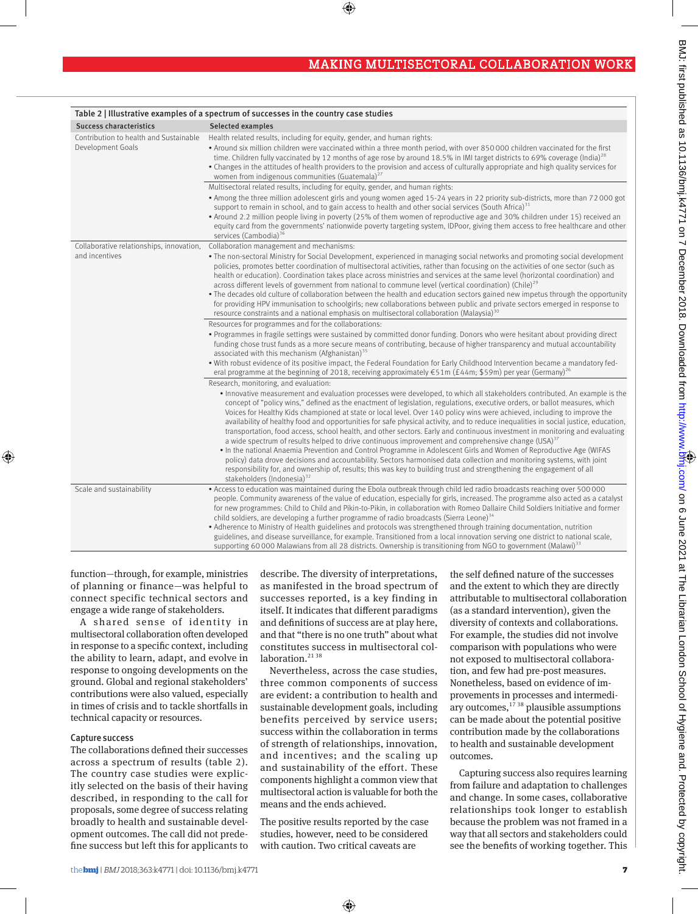|                                                             | Table 2   Illustrative examples of a spectrum of successes in the country case studies                                                                                                                                                                                                                                                                                                                                                                                                                                                                                                                                                                                                                                                                                                                                                                                                                                                                                                                                                                                                                                                                                                     |
|-------------------------------------------------------------|--------------------------------------------------------------------------------------------------------------------------------------------------------------------------------------------------------------------------------------------------------------------------------------------------------------------------------------------------------------------------------------------------------------------------------------------------------------------------------------------------------------------------------------------------------------------------------------------------------------------------------------------------------------------------------------------------------------------------------------------------------------------------------------------------------------------------------------------------------------------------------------------------------------------------------------------------------------------------------------------------------------------------------------------------------------------------------------------------------------------------------------------------------------------------------------------|
| <b>Success characteristics</b>                              | Selected examples                                                                                                                                                                                                                                                                                                                                                                                                                                                                                                                                                                                                                                                                                                                                                                                                                                                                                                                                                                                                                                                                                                                                                                          |
| Contribution to health and Sustainable<br>Development Goals | Health related results, including for equity, gender, and human rights:<br>. Around six million children were vaccinated within a three month period, with over 850 000 children vaccinated for the first<br>time. Children fully vaccinated by 12 months of age rose by around 18.5% in IMI target districts to 69% coverage (India) <sup>28</sup><br>• Changes in the attitudes of health providers to the provision and access of culturally appropriate and high quality services for<br>women from indigenous communities (Guatemala) <sup>27</sup>                                                                                                                                                                                                                                                                                                                                                                                                                                                                                                                                                                                                                                   |
|                                                             | Multisectoral related results, including for equity, gender, and human rights:                                                                                                                                                                                                                                                                                                                                                                                                                                                                                                                                                                                                                                                                                                                                                                                                                                                                                                                                                                                                                                                                                                             |
|                                                             | • Among the three million adolescent girls and young women aged 15-24 years in 22 priority sub-districts, more than 72000 got<br>support to remain in school, and to gain access to health and other social services (South Africa) $31$<br>• Around 2.2 million people living in poverty (25% of them women of reproductive age and 30% children under 15) received an<br>equity card from the governments' nationwide poverty targeting system, IDPoor, giving them access to free healthcare and other<br>services (Cambodia) <sup>36</sup>                                                                                                                                                                                                                                                                                                                                                                                                                                                                                                                                                                                                                                             |
| Collaborative relationships, innovation,                    | Collaboration management and mechanisms:                                                                                                                                                                                                                                                                                                                                                                                                                                                                                                                                                                                                                                                                                                                                                                                                                                                                                                                                                                                                                                                                                                                                                   |
| and incentives                                              | . The non-sectoral Ministry for Social Development, experienced in managing social networks and promoting social development<br>policies, promotes better coordination of multisectoral activities, rather than focusing on the activities of one sector (such as<br>health or education). Coordination takes place across ministries and services at the same level (horizontal coordination) and<br>across different levels of government from national to commune level (vertical coordination) (Chile) <sup>29</sup><br>• The decades old culture of collaboration between the health and education sectors gained new impetus through the opportunity<br>for providing HPV immunisation to schoolgirls; new collaborations between public and private sectors emerged in response to<br>resource constraints and a national emphasis on multisectoral collaboration (Malaysia) <sup>30</sup>                                                                                                                                                                                                                                                                                          |
|                                                             | Resources for programmes and for the collaborations:                                                                                                                                                                                                                                                                                                                                                                                                                                                                                                                                                                                                                                                                                                                                                                                                                                                                                                                                                                                                                                                                                                                                       |
|                                                             | . Programmes in fragile settings were sustained by committed donor funding. Donors who were hesitant about providing direct<br>funding chose trust funds as a more secure means of contributing, because of higher transparency and mutual accountability<br>associated with this mechanism (Afghanistan) <sup>35</sup><br>. With robust evidence of its positive impact, the Federal Foundation for Early Childhood Intervention became a mandatory fed-<br>eral programme at the beginning of 2018, receiving approximately $\epsilon$ 51m (£44m; \$59m) per year (Germany) <sup>26</sup>                                                                                                                                                                                                                                                                                                                                                                                                                                                                                                                                                                                                |
|                                                             | Research, monitoring, and evaluation:                                                                                                                                                                                                                                                                                                                                                                                                                                                                                                                                                                                                                                                                                                                                                                                                                                                                                                                                                                                                                                                                                                                                                      |
|                                                             | • Innovative measurement and evaluation processes were developed, to which all stakeholders contributed. An example is the<br>concept of "policy wins," defined as the enactment of legislation, regulations, executive orders, or ballot measures, which<br>Voices for Healthy Kids championed at state or local level. Over 140 policy wins were achieved, including to improve the<br>availability of healthy food and opportunities for safe physical activity, and to reduce inequalities in social justice, education,<br>transportation, food access, school health, and other sectors. Early and continuous investment in monitoring and evaluating<br>a wide spectrum of results helped to drive continuous improvement and comprehensive change $(USA)^{37}$<br>. In the national Anaemia Prevention and Control Programme in Adolescent Girls and Women of Reproductive Age (WIFAS<br>policy) data drove decisions and accountability. Sectors harmonised data collection and monitoring systems, with joint<br>responsibility for, and ownership of, results; this was key to building trust and strengthening the engagement of all<br>stakeholders (Indonesia) <sup>32</sup> |
| Scale and sustainability                                    | . Access to education was maintained during the Ebola outbreak through child led radio broadcasts reaching over 500 000<br>people. Community awareness of the value of education, especially for girls, increased. The programme also acted as a catalyst<br>for new programmes: Child to Child and Pikin-to-Pikin, in collaboration with Romeo Dallaire Child Soldiers Initiative and former<br>child soldiers, are developing a further programme of radio broadcasts (Sierra Leone) <sup>34</sup><br>• Adherence to Ministry of Health guidelines and protocols was strengthened through training documentation, nutrition<br>guidelines, and disease surveillance, for example. Transitioned from a local innovation serving one district to national scale,<br>supporting 60000 Malawians from all 28 districts. Ownership is transitioning from NGO to government (Malawi) <sup>33</sup>                                                                                                                                                                                                                                                                                             |

 $\bigcirc$ 

function—through, for example, ministries of planning or finance—was helpful to connect specific technical sectors and engage a wide range of stakeholders.

A shared sense of identity in multisectoral collaboration often developed in response to a specific context, including the ability to learn, adapt, and evolve in response to ongoing developments on the ground. Global and regional stakeholders' contributions were also valued, especially in times of crisis and to tackle shortfalls in technical capacity or resources.

# Capture success

⊕

The collaborations defined their successes across a spectrum of results (table 2). The country case studies were explicitly selected on the basis of their having described, in responding to the call for proposals, some degree of success relating broadly to health and sustainable development outcomes. The call did not predefine success but left this for applicants to describe. The diversity of interpretations, as manifested in the broad spectrum of successes reported, is a key finding in itself. It indicates that different paradigms and definitions of success are at play here, and that "there is no one truth" about what constitutes success in multisectoral collaboration. $2138$ 

Nevertheless, across the case studies, three common components of success are evident: a contribution to health and sustainable development goals, including benefits perceived by service users; success within the collaboration in terms of strength of relationships, innovation, and incentives; and the scaling up and sustainability of the effort. These components highlight a common view that multisectoral action is valuable for both the means and the ends achieved.

The positive results reported by the case studies, however, need to be considered with caution. Two critical caveats are

⊕

the self defined nature of the successes and the extent to which they are directly attributable to multisectoral collaboration (as a standard intervention), given the diversity of contexts and collaborations. For example, the studies did not involve comparison with populations who were not exposed to multisectoral collaboration, and few had pre-post measures. Nonetheless, based on evidence of improvements in processes and intermediary outcomes, $1738$  plausible assumptions can be made about the potential positive contribution made by the collaborations to health and sustainable development outcomes.

Capturing success also requires learning from failure and adaptation to challenges and change. In some cases, collaborative relationships took longer to establish because the problem was not framed in a way that all sectors and stakeholders could see the benefits of working together. This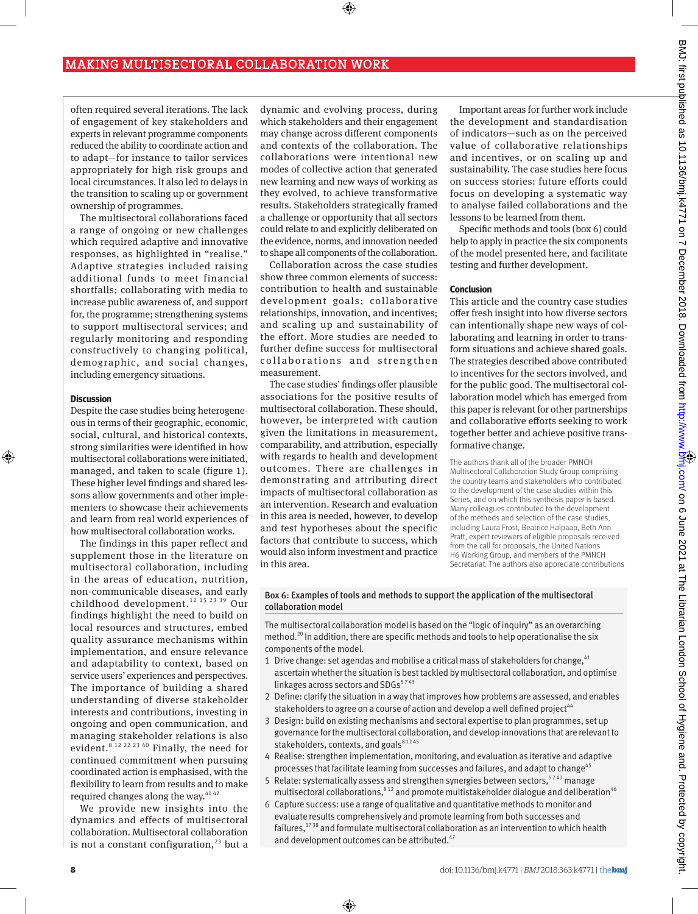often required several iterations. The lack of engagement of key stakeholders and experts in relevant programme components reduced the ability to coordinate action and to adapt—for instance to tailor services appropriately for high risk groups and local circumstances. It also led to delays in the transition to scaling up or government ownership of programmes.

The multisectoral collaborations faced a range of ongoing or new challenges which required adaptive and innovative responses, as highlighted in "realise." Adaptive strategies included raising additional funds to meet financial shortfalls; collaborating with media to increase public awareness of, and support for, the programme; strengthening systems to support multisectoral services; and regularly monitoring and responding constructively to changing political, demographic, and social changes, including emergency situations.

## **Discussion**

⊕

Despite the case studies being heterogeneous in terms of their geographic, economic, social, cultural, and historical contexts, strong similarities were identified in how multisectoral collaborations were initiated, managed, and taken to scale (figure 1). These higher level findings and shared lessons allow governments and other implementers to showcase their achievements and learn from real world experiences of how multisectoral collaboration works.

The findings in this paper reflect and supplement those in the literature on multisectoral collaboration, including in the areas of education, nutrition, non-communicable diseases, and early childhood development.<sup>12 15 23 39</sup> Our findings highlight the need to build on local resources and structures, embed quality assurance mechanisms within implementation, and ensure relevance and adaptability to context, based on service users' experiences and perspectives. The importance of building a shared understanding of diverse stakeholder interests and contributions, investing in ongoing and open communication, and managing stakeholder relations is also evident.<sup>8 12 22 23 40</sup> Finally, the need for continued commitment when pursuing coordinated action is emphasised, with the flexibility to learn from results and to make required changes along the way.<sup>4142</sup>

We provide new insights into the dynamics and effects of multisectoral collaboration. Multisectoral collaboration is not a constant configuration, $^{23}$  but a

dynamic and evolving process, during which stakeholders and their engagement may change across different components and contexts of the collaboration. The collaborations were intentional new modes of collective action that generated new learning and new ways of working as they evolved, to achieve transformative results. Stakeholders strategically framed a challenge or opportunity that all sectors could relate to and explicitly deliberated on the evidence, norms, and innovation needed to shape all components of the collaboration.

⊕

Collaboration across the case studies show three common elements of success: contribution to health and sustainable development goals; collaborative relationships, innovation, and incentives; and scaling up and sustainability of the effort. More studies are needed to further define success for multisectoral collaborations and strengthen measurement.

The case studies' findings offer plausible associations for the positive results of multisectoral collaboration. These should, however, be interpreted with caution given the limitations in measurement, comparability, and attribution, especially with regards to health and development outcomes. There are challenges in demonstrating and attributing direct impacts of multisectoral collaboration as an intervention. Research and evaluation in this area is needed, however, to develop and test hypotheses about the specific factors that contribute to success, which would also inform investment and practice in this area.

⊕

Important areas for further work include the development and standardisation of indicators—such as on the perceived value of collaborative relationships and incentives, or on scaling up and sustainability. The case studies here focus on success stories: future efforts could focus on developing a systematic way to analyse failed collaborations and the lessons to be learned from them.

Specific methods and tools (box 6) could help to apply in practice the six components of the model presented here, and facilitate testing and further development.

## **Conclusion**

This article and the country case studies offer fresh insight into how diverse sectors can intentionally shape new ways of collaborating and learning in order to transform situations and achieve shared goals. The strategies described above contributed to incentives for the sectors involved, and for the public good. The multisectoral collaboration model which has emerged from this paper is relevant for other partnerships and collaborative efforts seeking to work together better and achieve positive transformative change.

The authors thank all of the broader PMNCH Multisectoral Collaboration Study Group comprising the country teams and stakeholders who contributed to the development of the case studies within this Series, and on which this synthesis paper is based. Many colleagues contributed to the development of the methods and selection of the case studies, including Laura Frost, Beatrice Halpaap, Beth Ann Pratt, expert reviewers of eligible proposals received from the call for proposals, the United Nations H6 Working Group, and members of the PMNCH Secretariat. The authors also appreciate contributions

## Box 6: Examples of tools and methods to support the application of the multisectoral collaboration model

The multisectoral collaboration model is based on the "logic of inquiry" as an overarching method.<sup>20</sup> In addition, there are specific methods and tools to help operationalise the six components of the model.

- 1 Drive change: set agendas and mobilise a critical mass of stakeholders for change,  $41$ ascertain whether the situation is best tackled by multisectoral collaboration, and optimise linkages across sectors and  $SDGs<sup>5743</sup>$
- 2 Define: clarify the situation in a way that improves how problems are assessed, and enables stakeholders to agree on a course of action and develop a well defined project<sup>44</sup>
- 3 Design: build on existing mechanisms and sectoral expertise to plan programmes, set up governance for the multisectoral collaboration, and develop innovations that are relevant to stakeholders, contexts, and goals<sup>81245</sup>
- 4 Realise: strengthen implementation, monitoring, and evaluation as iterative and adaptive processes that facilitate learning from successes and failures, and adapt to change<sup>45</sup>
- 5 Relate: systematically assess and strengthen synergies between sectors,  $5743$  manage multisectoral collaborations, $812$  and promote multistakeholder dialogue and deliberation<sup>46</sup>
- 6 Capture success: use a range of qualitative and quantitative methods to monitor and evaluate results comprehensively and promote learning from both successes and failures, $1738$  and formulate multisectoral collaboration as an intervention to which health and development outcomes can be attributed.<sup>47</sup>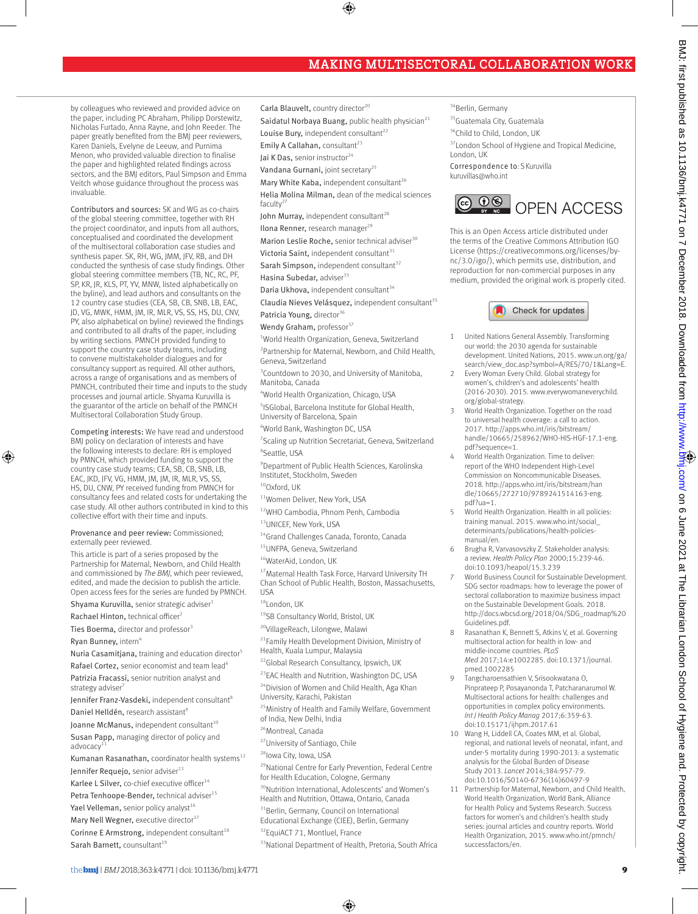by colleagues who reviewed and provided advice on the paper, including PC Abraham, Philipp Dorstewitz, Nicholas Furtado, Anna Rayne, and John Reeder. The paper greatly benefited from the BMJ peer reviewers, Karen Daniels, Evelyne de Leeuw, and Purnima Menon, who provided valuable direction to finalise the paper and highlighted related findings across sectors, and the BMJ editors, Paul Simpson and Emma Veitch whose guidance throughout the process was invaluable.

Contributors and sources: SK and WG as co-chairs of the global steering committee, together with RH the project coordinator, and inputs from all authors, conceptualised and coordinated the development of the multisectoral collaboration case studies and synthesis paper. SK, RH, WG, JMM, JFV, RB, and DH conducted the synthesis of case study findings. Other global steering committee members (TB, NC, RC, PF, SP, KR, JR, KLS, PT, YV, MNW, listed alphabetically on the byline), and lead authors and consultants on the 12 country case studies (CEA, SB, CB, SNB, LB, EAC, JD, VG, MWK, HMM, JM, IR, MLR, VS, SS, HS, DU, CNV, PY, also alphabetical on byline) reviewed the findings and contributed to all drafts of the paper, including by writing sections. PMNCH provided funding to support the country case study teams, including to convene multistakeholder dialogues and for consultancy support as required. All other authors, across a range of organisations and as members of PMNCH, contributed their time and inputs to the study processes and journal article. Shyama Kuruvilla is the guarantor of the article on behalf of the PMNCH Multisectoral Collaboration Study Group.

Competing interests: We have read and understood BMJ policy on declaration of interests and have the following interests to declare: RH is employed by PMNCH, which provided funding to support the country case study teams; CEA, SB, CB, SNB, LB, EAC, JKD, JFV, VG, HMM, JM, JM, IR, MLR, VS, SS, HS, DU, CNW, PY received funding from PMNCH for consultancy fees and related costs for undertaking the case study. All other authors contributed in kind to this collective effort with their time and inputs.

#### Provenance and peer review: Commissioned; externally peer reviewed.

This article is part of a series proposed by the Partnership for Maternal, Newborn, and Child Health and commissioned by *The BMJ*, which peer reviewed, edited, and made the decision to publish the article. Open access fees for the series are funded by PMNCH.

Shyama Kuruvilla, senior strategic adviser1

Rachael Hinton, technical officer<sup>2</sup>

⊕

Ties Boerma, director and professor<sup>3</sup> Ryan Bunney, intern<sup>4</sup>

Nuria Casamitjana, training and education director<sup>5</sup>

Rafael Cortez, senior economist and team lead<sup>6</sup> Patrizia Fracassi, senior nutrition analyst and strategy adviser

Jennifer Franz-Vasdeki, independent consultant<sup>8</sup> Daniel Helldén, research assistant<sup>9</sup>

Joanne McManus, independent consultant<sup>10</sup> Susan Papp, managing director of policy and

advocacy Kumanan Rasanathan, coordinator health systems $^{12}$ 

Jennifer Requejo, senior adviser<sup>13</sup>

Karlee L Silver, co-chief executive officer<sup>14</sup>

- Petra Tenhoope-Bender, technical adviser<sup>15</sup>
- Yael Velleman, senior policy analyst<sup>16</sup>

Mary Nell Wegner, executive director<sup>17</sup>

Corinne E Armstrong, independent consultant<sup>18</sup> Sarah Barnett, counsultant<sup>19</sup>

Carla Blauvelt, country director<sup>20</sup>

Saidatul Norbaya Buang, public health physician $^{21}$ 

⊕

Louise Bury, independent consultant<sup>22</sup>

Emily A Callahan, consultant $^{23}$ 

Jai K Das, senior instructor<sup>24</sup>

Vandana Gurnani, joint secretary<sup>25</sup>

Mary White Kaba, independent consultant<sup>26</sup> Helia Molina Milman, dean of the medical sciences faculty $2$ 

John Murray, independent consultant<sup>28</sup>

Ilona Renner, research manager $^{29}$ 

Marion Leslie Roche, senior technical adviser<sup>30</sup>

Victoria Saint, independent consultant $31$ 

Sarah Simpson, independent consultant<sup>32</sup>

Hasina Subedar, adviser<sup>33</sup>

Daria Ukhova, independent consultant<sup>34</sup>

 $C$ laudia Nieves Velásquez, independent consultant $35$ 

Patricia Young, director<sup>36</sup>

Wendy Graham, professor $37$ 

<sup>1</sup>World Health Organization, Geneva, Switzerland <sup>2</sup> Partnership for Maternal, Newborn, and Child Health, Geneva, Switzerland

<sup>3</sup> Countdown to 2030, and University of Manitoba, Manitoba, Canada

4 World Health Organization, Chicago, USA

5 ISGlobal, Barcelona Institute for Global Health, University of Barcelona, Spain

6 World Bank, Washington DC, USA

<sup>7</sup> Scaling up Nutrition Secretariat, Geneva, Switzerland 8 Seattle, USA

9 Department of Public Health Sciences, Karolinska Institutet, Stockholm, Sweden

 $10$ Oxford, UK

<sup>11</sup>Women Deliver, New York, USA

12WHO Cambodia, Phnom Penh, Cambodia <sup>13</sup>UNICEF, New York, USA

<sup>14</sup>Grand Challenges Canada, Toronto, Canada

15UNFPA, Geneva, Switzerland

<sup>16</sup>WaterAid, London, UK

17 Maternal Health Task Force, Harvard University TH Chan School of Public Health, Boston, Massachusetts, USA

<sup>18</sup>London, UK

19SB Consultancy World, Bristol, UK

<sup>20</sup>VillageReach, Lilongwe, Malawi

<sup>21</sup>Family Health Development Division, Ministry of Health, Kuala Lumpur, Malaysia

<sup>22</sup>Global Research Consultancy, Ipswich, UK

<sup>23</sup>EAC Health and Nutrition, Washington DC, USA

<sup>24</sup>Division of Women and Child Health, Aga Khan University, Karachi, Pakistan

<sup>25</sup> Ministry of Health and Family Welfare, Government of India, New Delhi, India

<sup>26</sup>Montreal, Canada

<sup>27</sup>University of Santiago, Chile

<sup>28</sup>lowa City, Iowa, USA

<sup>29</sup>National Centre for Early Prevention, Federal Centre for Health Education, Cologne, Germany

30Nutrition International, Adolescents' and Women's

Health and Nutrition, Ottawa, Ontario, Canada

<sup>31</sup>Berlin, Germany, Council on International

Educational Exchange (CIEE), Berlin, Germany

<sup>32</sup>EquiACT 71, Montluel, France

33 National Department of Health, Pretoria, South Africa

⊕

<sup>34</sup>Berlin, Germany

35 Guatemala City, Guatemala

<sup>36</sup>Child to Child, London, UK

<sup>37</sup> London School of Hygiene and Tropical Medicine, London, UK

Correspondence to: S Kuruvilla kuruvillas@who.int



This is an Open Access article distributed under the terms of the Creative Commons Attribution IGO License (https://creativecommons.org/licenses/bync/3.0/igo/), which permits use, distribution, and reproduction for non-commercial purposes in any medium, provided the original work is properly cited.



- 1 United Nations General Assembly. Transforming our world: the 2030 agenda for sustainable development. United Nations, 2015. www.un.org/ga/ search/view\_doc.asp?symbol=A/RES/70/1&Lang=E.
- 2 Every Woman Every Child. Global strategy for women's, children's and adolescents' health (2016-2030). 2015. www.everywomaneverychild. org/global-strategy.
- World Health Organization. Together on the road to universal health coverage: a call to action. 2017. http://apps.who.int/iris/bitstream/ handle/10665/258962/WHO-HIS-HGF-17.1-eng. pdf?sequence=1.
- 4 World Health Organization. Time to deliver: report of the WHO Independent High-Level Commission on Noncommunicable Diseases. 2018. http://apps.who.int/iris/bitstream/han dle/10665/272710/9789241514163-eng. pdf?ua=1.
- World Health Organization. Health in all policies: training manual. 2015. www.who.int/social\_ determinants/publications/health-policiesmanual/en.
- 6 Brugha R, Varvasovszky Z. Stakeholder analysis: a review. *Health Policy Plan* 2000;15:239-46. doi:10.1093/heapol/15.3.239
- 7 World Business Council for Sustainable Development. SDG sector roadmaps: how to leverage the power of sectoral collaboration to maximize business impact on the Sustainable Development Goals. 2018. http://docs.wbcsd.org/2018/04/SDG\_roadmap%20 Guidelines.pdf.
- 8 Rasanathan K, Bennett S, Atkins V, et al. Governing multisectoral action for health in low- and middle-income countries. *PLoS Med* 2017;14:e1002285. doi:10.1371/journal. pmed.1002285
- Tangcharoensathien V, Srisookwatana O, Pinprateep P, Posayanonda T, Patcharanarumol W. Multisectoral actions for health: challenges and opportunities in complex policy environments. *Int J Health Policy Manag* 2017;6:359-63. doi:10.15171/ijhpm.2017.61
- 10 Wang H, Liddell CA, Coates MM, et al. Global, regional, and national levels of neonatal, infant, and under-5 mortality during 1990-2013: a systematic analysis for the Global Burden of Disease Study 2013. *Lancet* 2014;384:957-79. doi:10.1016/S0140-6736(14)60497-9
- Partnership for Maternal, Newborn, and Child Health, World Health Organization, World Bank, Alliance for Health Policy and Systems Research. Success factors for women's and children's health study series: journal articles and country reports. World Health Organization, 2015. www.who.int/pmnch/ successfactors/en.

BMJ: first published as 10.1136/bmj.k4771 on 7 December 2018. Downloaded from <http://www.bmj.com/> on 6 June 2021 at The Librarian London School of Hygiene and. Protected by copyright.

BMJ: first published as 10.1136/bmj.k4771 on 7 December 2018. Doember 2018. Downloaded from http://www.bmi.com/on 6 June 2021 at The Librarian London School of Hygiene and. Protected by copyright.